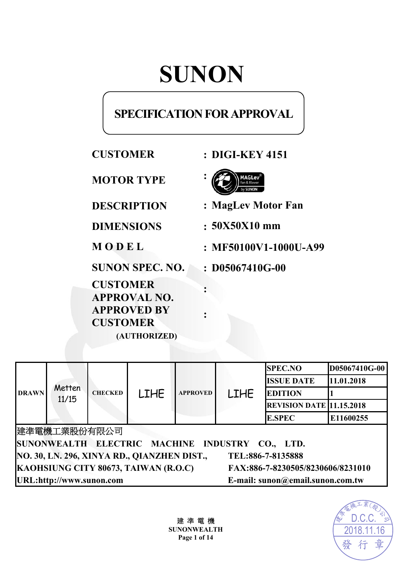# **SUNON**

# **SPECIFICATION FOR APPROVAL**

| <b>CUSTOMER</b>                                                                                 | <b>: DIGI-KEY 4151</b>  |
|-------------------------------------------------------------------------------------------------|-------------------------|
| <b>MOTOR TYPE</b>                                                                               |                         |
| <b>DESCRIPTION</b>                                                                              | : MagLev Motor Fan      |
| <b>DIMENSIONS</b>                                                                               | $:50X50X10$ mm          |
| MODEL                                                                                           | $: MF50100V1-1000U-499$ |
| <b>SUNON SPEC. NO.</b>                                                                          | $: D05067410G-00$       |
| <b>CUSTOMER</b><br><b>APPROVAL NO.</b><br><b>APPROVED BY</b><br><b>CUSTOMER</b><br>(AUTHORIZED) |                         |
|                                                                                                 |                         |

|                                                                           |                 |                |             |                 |             | <b>SPEC.NO</b>                  | D05067410G-00 |
|---------------------------------------------------------------------------|-----------------|----------------|-------------|-----------------|-------------|---------------------------------|---------------|
| <b>DRAWN</b>                                                              | Metten<br>11/15 | <b>CHECKED</b> | <b>LIHE</b> | <b>APPROVED</b> | <b>LIHE</b> | <b>ISSUE DATE</b>               | 11.01.2018    |
|                                                                           |                 |                |             |                 |             | <b>EDITION</b>                  |               |
|                                                                           |                 |                |             |                 |             | <b>REVISION DATE 11.15.2018</b> |               |
|                                                                           |                 |                |             |                 |             | <b>E.SPEC</b>                   | E11600255     |
| 建準電機工業股份有限公司                                                              |                 |                |             |                 |             |                                 |               |
| SUNONWEALTH ELECTRIC MACHINE INDUSTRY CO., LTD.                           |                 |                |             |                 |             |                                 |               |
| NO. 30, LN. 296, XINYA RD., QIANZHEN DIST.,<br>TEL:886-7-8135888          |                 |                |             |                 |             |                                 |               |
| KAOHSIUNG CITY 80673, TAIWAN (R.O.C)<br>FAX:886-7-8230505/8230606/8231010 |                 |                |             |                 |             |                                 |               |
| URL:http://www.sunon.com<br>E-mail: sunon@email.sunon.com.tw              |                 |                |             |                 |             |                                 |               |

建 準 電 機 **SUNONWEALTH Page 1 of 14**

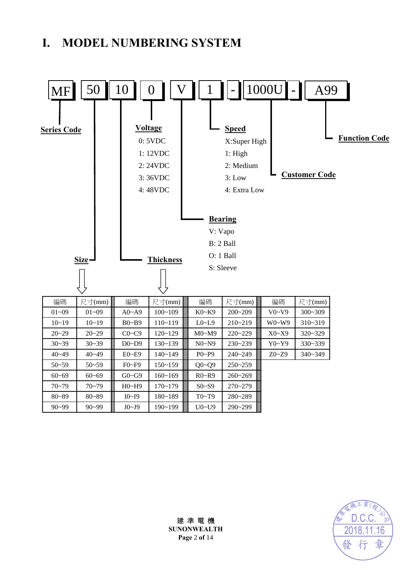# **I. MODEL NUMBERING SYSTEM**





建 準 電 機 **SUNONWEALTH Page** 2 **of** 14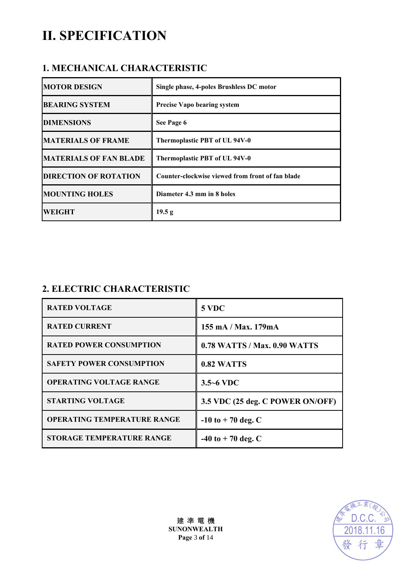# **II. SPECIFICATION**

### **1. MECHANICAL CHARACTERISTIC**

| <b>MOTOR DESIGN</b>           | Single phase, 4-poles Brushless DC motor         |
|-------------------------------|--------------------------------------------------|
| <b>BEARING SYSTEM</b>         | <b>Precise Vapo bearing system</b>               |
| <b>DIMENSIONS</b>             | See Page 6                                       |
| <b>MATERIALS OF FRAME</b>     | Thermoplastic PBT of UL 94V-0                    |
| <b>MATERIALS OF FAN BLADE</b> | Thermoplastic PBT of UL 94V-0                    |
| <b>DIRECTION OF ROTATION</b>  | Counter-clockwise viewed from front of fan blade |
| <b>MOUNTING HOLES</b>         | Diameter 4.3 mm in 8 holes                       |
| <b>WEIGHT</b>                 | 19.5 g                                           |

# **2. ELECTRIC CHARACTERISTIC**

| <b>RATED VOLTAGE</b>               | 5 VDC                            |
|------------------------------------|----------------------------------|
| <b>RATED CURRENT</b>               | 155 mA / Max. 179mA              |
| <b>RATED POWER CONSUMPTION</b>     | 0.78 WATTS / Max. 0.90 WATTS     |
| <b>SAFETY POWER CONSUMPTION</b>    | 0.82 WATTS                       |
| <b>OPERATING VOLTAGE RANGE</b>     | $3.5 - 6$ VDC                    |
| <b>STARTING VOLTAGE</b>            | 3.5 VDC (25 deg. C POWER ON/OFF) |
| <b>OPERATING TEMPERATURE RANGE</b> | $-10$ to $+70$ deg. C            |
| <b>STORAGE TEMPERATURE RANGE</b>   | $-40$ to $+70$ deg. C            |



建 準 電 機 **SUNONWEALTH Page** 3 **of** 14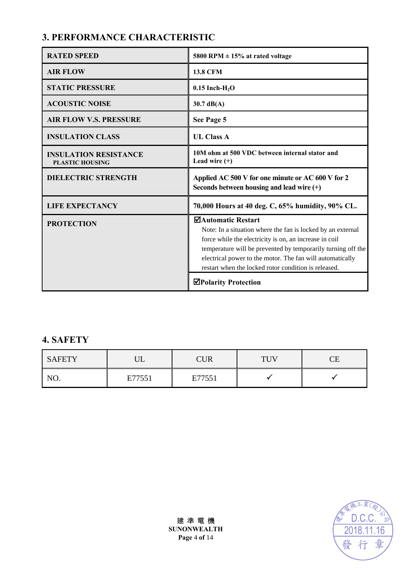# **3. PERFORMANCE CHARACTERISTIC**

| <b>RATED SPEED</b>                                     | 5800 RPM $\pm$ 15% at rated voltage                                                                                                                                                                                                                                                                                              |
|--------------------------------------------------------|----------------------------------------------------------------------------------------------------------------------------------------------------------------------------------------------------------------------------------------------------------------------------------------------------------------------------------|
| <b>AIR FLOW</b>                                        | <b>13.8 CFM</b>                                                                                                                                                                                                                                                                                                                  |
| <b>STATIC PRESSURE</b>                                 | $0.15$ Inch-H <sub>2</sub> O                                                                                                                                                                                                                                                                                                     |
| <b>ACOUSTIC NOISE</b>                                  | $30.7 \text{ dB}(A)$                                                                                                                                                                                                                                                                                                             |
| <b>AIR FLOW V.S. PRESSURE</b>                          | See Page 5                                                                                                                                                                                                                                                                                                                       |
| <b>INSULATION CLASS</b>                                | <b>UL Class A</b>                                                                                                                                                                                                                                                                                                                |
| <b>INSULATION RESISTANCE</b><br><b>PLASTIC HOUSING</b> | 10M ohm at 500 VDC between internal stator and<br>Lead wire $(+)$                                                                                                                                                                                                                                                                |
| <b>DIELECTRIC STRENGTH</b>                             | Applied AC 500 V for one minute or AC 600 V for 2<br>Seconds between housing and lead wire $(+)$                                                                                                                                                                                                                                 |
| <b>LIFE EXPECTANCY</b>                                 |                                                                                                                                                                                                                                                                                                                                  |
|                                                        | 70,000 Hours at 40 deg. C, 65% humidity, 90% CL.                                                                                                                                                                                                                                                                                 |
| <b>PROTECTION</b>                                      | ⊠Automatic Restart<br>Note: In a situation where the fan is locked by an external<br>force while the electricity is on, an increase in coil<br>temperature will be prevented by temporarily turning off the<br>electrical power to the motor. The fan will automatically<br>restart when the locked rotor condition is released. |

### **4. SAFETY**

| <b>SAFETY</b> | דד '<br>ப | <b>CUR</b> | <b>THV</b> | $^\frown$ F<br>تلت |
|---------------|-----------|------------|------------|--------------------|
| NO.           | E77551    | E77551     |            |                    |

D.C.C.2018.11.16 章 發 行

建 準 電 機 **SUNONWEALTH Page** 4 **of** 14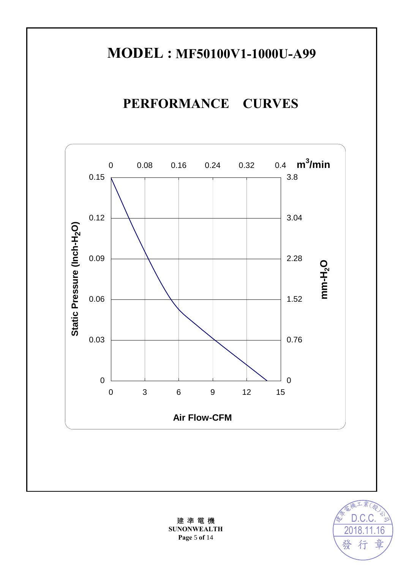# **MODEL : MF50100V1-1000U-A99**

# **PERFORMANCE CURVES**





建 準 電 機 **SUNONWEALTH Page** 5 **of** 14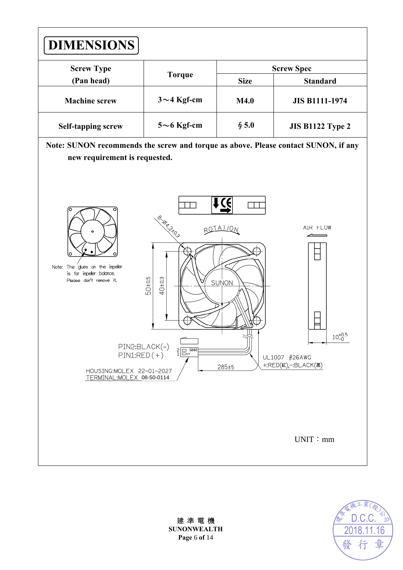



建 準 電 機 **SUNONWEALTH Page** 6 **of** 14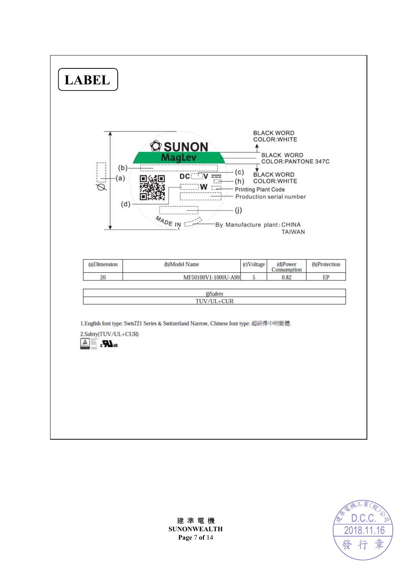



建 準 電 機 **SUNONWEALTH Page** 7 **of** 14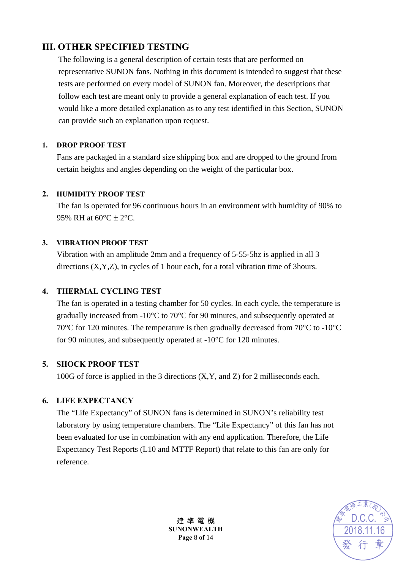### **III. OTHER SPECIFIED TESTING**

The following is a general description of certain tests that are performed on representative SUNON fans. Nothing in this document is intended to suggest that these tests are performed on every model of SUNON fan. Moreover, the descriptions that follow each test are meant only to provide a general explanation of each test. If you would like a more detailed explanation as to any test identified in this Section, SUNON can provide such an explanation upon request.

#### **1. DROP PROOF TEST**

Fans are packaged in a standard size shipping box and are dropped to the ground from certain heights and angles depending on the weight of the particular box.

#### **2. HUMIDITY PROOF TEST**

The fan is operated for 96 continuous hours in an environment with humidity of 90% to 95% RH at  $60^{\circ}$ C  $\pm$  2°C.

#### **3. VIBRATION PROOF TEST**

Vibration with an amplitude 2mm and a frequency of 5-55-5hz is applied in all 3 directions (X,Y,Z), in cycles of 1 hour each, for a total vibration time of 3hours.

#### **4. THERMAL CYCLING TEST**

The fan is operated in a testing chamber for 50 cycles. In each cycle, the temperature is gradually increased from -10°C to 70°C for 90 minutes, and subsequently operated at 70°C for 120 minutes. The temperature is then gradually decreased from 70°C to -10°C for 90 minutes, and subsequently operated at -10°C for 120 minutes.

#### **5. SHOCK PROOF TEST**

100G of force is applied in the 3 directions (X,Y, and Z) for 2 milliseconds each.

#### **6. LIFE EXPECTANCY**

The "Life Expectancy" of SUNON fans is determined in SUNON's reliability test laboratory by using temperature chambers. The "Life Expectancy" of this fan has not been evaluated for use in combination with any end application. Therefore, the Life Expectancy Test Reports (L10 and MTTF Report) that relate to this fan are only for reference.



建 準 電 機 **SUNONWEALTH Page** 8 **of** 14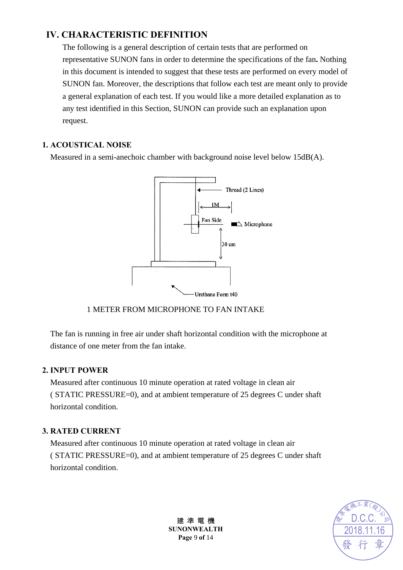## **IV. CHARACTERISTIC DEFINITION**

The following is a general description of certain tests that are performed on representative SUNON fans in order to determine the specifications of the fan**.** Nothing in this document is intended to suggest that these tests are performed on every model of SUNON fan. Moreover, the descriptions that follow each test are meant only to provide a general explanation of each test. If you would like a more detailed explanation as to any test identified in this Section, SUNON can provide such an explanation upon request.

#### **1. ACOUSTICAL NOISE**

Measured in a semi-anechoic chamber with background noise level below 15dB(A).



#### 1 METER FROM MICROPHONE TO FAN INTAKE

The fan is running in free air under shaft horizontal condition with the microphone at distance of one meter from the fan intake.

#### **2. INPUT POWER**

Measured after continuous 10 minute operation at rated voltage in clean air ( STATIC PRESSURE=0), and at ambient temperature of 25 degrees C under shaft horizontal condition.

#### **3. RATED CURRENT**

Measured after continuous 10 minute operation at rated voltage in clean air ( STATIC PRESSURE=0), and at ambient temperature of 25 degrees C under shaft horizontal condition.



建 準 電 機 **SUNONWEALTH Page** 9 **of** 14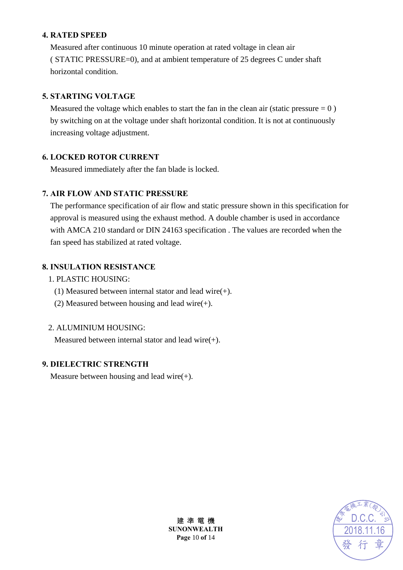#### **4. RATED SPEED**

Measured after continuous 10 minute operation at rated voltage in clean air ( STATIC PRESSURE=0), and at ambient temperature of 25 degrees C under shaft horizontal condition.

#### **5. STARTING VOLTAGE**

Measured the voltage which enables to start the fan in the clean air (static pressure  $= 0$ ) by switching on at the voltage under shaft horizontal condition. It is not at continuously increasing voltage adjustment.

#### **6. LOCKED ROTOR CURRENT**

Measured immediately after the fan blade is locked.

#### **7. AIR FLOW AND STATIC PRESSURE**

The performance specification of air flow and static pressure shown in this specification for approval is measured using the exhaust method. A double chamber is used in accordance with AMCA 210 standard or DIN 24163 specification . The values are recorded when the fan speed has stabilized at rated voltage.

#### **8. INSULATION RESISTANCE**

- 1. PLASTIC HOUSING:
	- (1) Measured between internal stator and lead wire(+).
	- (2) Measured between housing and lead wire $(+)$ .

#### 2. ALUMINIUM HOUSING:

Measured between internal stator and lead wire(+).

#### **9. DIELECTRIC STRENGTH**

Measure between housing and lead wire $(+)$ .



建 準 電 機 **SUNONWEALTH Page** 10 **of** 14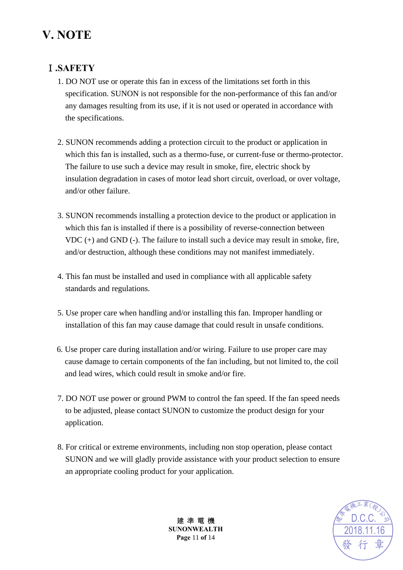# **V. NOTE**

### Ⅰ**.SAFETY**

- 1. DO NOT use or operate this fan in excess of the limitations set forth in this specification. SUNON is not responsible for the non-performance of this fan and/or any damages resulting from its use, if it is not used or operated in accordance with the specifications.
- 2. SUNON recommends adding a protection circuit to the product or application in which this fan is installed, such as a thermo-fuse, or current-fuse or thermo-protector. The failure to use such a device may result in smoke, fire, electric shock by insulation degradation in cases of motor lead short circuit, overload, or over voltage, and/or other failure.
- 3. SUNON recommends installing a protection device to the product or application in which this fan is installed if there is a possibility of reverse-connection between VDC (+) and GND (-). The failure to install such a device may result in smoke, fire, and/or destruction, although these conditions may not manifest immediately.
- 4. This fan must be installed and used in compliance with all applicable safety standards and regulations.
- 5. Use proper care when handling and/or installing this fan. Improper handling or installation of this fan may cause damage that could result in unsafe conditions.
- 6. Use proper care during installation and/or wiring. Failure to use proper care may cause damage to certain components of the fan including, but not limited to, the coil and lead wires, which could result in smoke and/or fire.
- 7. DO NOT use power or ground PWM to control the fan speed. If the fan speed needs to be adjusted, please contact SUNON to customize the product design for your application.
- 8. For critical or extreme environments, including non stop operation, please contact SUNON and we will gladly provide assistance with your product selection to ensure an appropriate cooling product for your application.



建 準 電 機 **SUNONWEALTH Page** 11 **of** 14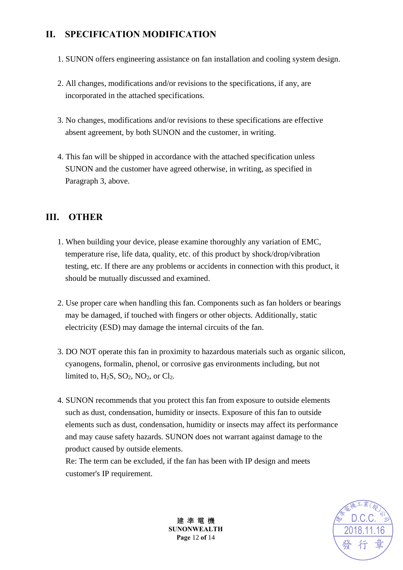## **II. SPECIFICATION MODIFICATION**

- 1. SUNON offers engineering assistance on fan installation and cooling system design.
- 2. All changes, modifications and/or revisions to the specifications, if any, are incorporated in the attached specifications.
- 3. No changes, modifications and/or revisions to these specifications are effective absent agreement, by both SUNON and the customer, in writing.
- 4. This fan will be shipped in accordance with the attached specification unless SUNON and the customer have agreed otherwise, in writing, as specified in Paragraph 3, above.

### **III. OTHER**

- 1. When building your device, please examine thoroughly any variation of EMC, temperature rise, life data, quality, etc. of this product by shock/drop/vibration testing, etc. If there are any problems or accidents in connection with this product, it should be mutually discussed and examined.
- 2. Use proper care when handling this fan. Components such as fan holders or bearings may be damaged, if touched with fingers or other objects. Additionally, static electricity (ESD) may damage the internal circuits of the fan.
- 3. DO NOT operate this fan in proximity to hazardous materials such as organic silicon, cyanogens, formalin, phenol, or corrosive gas environments including, but not limited to,  $H_2S$ ,  $SO_2$ ,  $NO_2$ , or  $Cl_2$ .
- 4. SUNON recommends that you protect this fan from exposure to outside elements such as dust, condensation, humidity or insects. Exposure of this fan to outside elements such as dust, condensation, humidity or insects may affect its performance and may cause safety hazards. SUNON does not warrant against damage to the product caused by outside elements.

Re: The term can be excluded, if the fan has been with IP design and meets customer's IP requirement.



建 準 電 機 **SUNONWEALTH Page** 12 **of** 14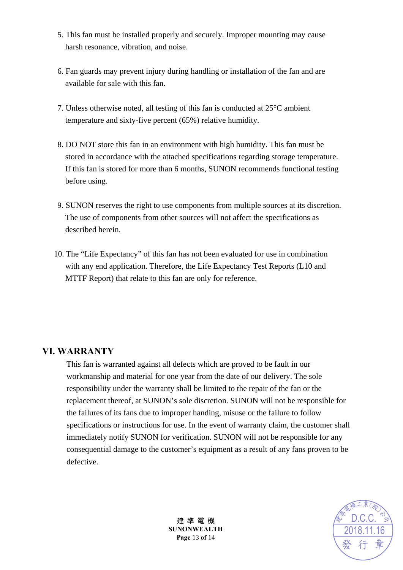- 5. This fan must be installed properly and securely. Improper mounting may cause harsh resonance, vibration, and noise.
- 6. Fan guards may prevent injury during handling or installation of the fan and are available for sale with this fan.
- 7. Unless otherwise noted, all testing of this fan is conducted at 25°C ambient temperature and sixty-five percent (65%) relative humidity.
- 8. DO NOT store this fan in an environment with high humidity. This fan must be stored in accordance with the attached specifications regarding storage temperature. If this fan is stored for more than 6 months, SUNON recommends functional testing before using.
- 9. SUNON reserves the right to use components from multiple sources at its discretion. The use of components from other sources will not affect the specifications as described herein.
- 10. The "Life Expectancy" of this fan has not been evaluated for use in combination with any end application. Therefore, the Life Expectancy Test Reports (L10 and MTTF Report) that relate to this fan are only for reference.

#### **VI. WARRANTY**

This fan is warranted against all defects which are proved to be fault in our workmanship and material for one year from the date of our delivery. The sole responsibility under the warranty shall be limited to the repair of the fan or the replacement thereof, at SUNON's sole discretion. SUNON will not be responsible for the failures of its fans due to improper handing, misuse or the failure to follow specifications or instructions for use. In the event of warranty claim, the customer shall immediately notify SUNON for verification. SUNON will not be responsible for any consequential damage to the customer's equipment as a result of any fans proven to be defective.



建 準 電 機 **SUNONWEALTH Page** 13 **of** 14